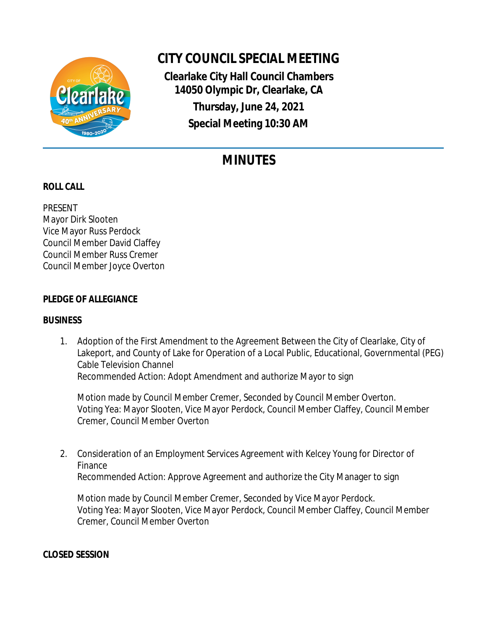

# **CITY COUNCIL SPECIAL MEETING**

**Clearlake City Hall Council Chambers 14050 Olympic Dr, Clearlake, CA Thursday, June 24, 2021 Special Meeting 10:30 AM**

# **MINUTES**

# **ROLL CALL**

PRESENT Mayor Dirk Slooten Vice Mayor Russ Perdock Council Member David Claffey Council Member Russ Cremer Council Member Joyce Overton

## **PLEDGE OF ALLEGIANCE**

### **BUSINESS**

1. Adoption of the First Amendment to the Agreement Between the City of Clearlake, City of Lakeport, and County of Lake for Operation of a Local Public, Educational, Governmental (PEG) Cable Television Channel Recommended Action: Adopt Amendment and authorize Mayor to sign

Motion made by Council Member Cremer, Seconded by Council Member Overton. Voting Yea: Mayor Slooten, Vice Mayor Perdock, Council Member Claffey, Council Member Cremer, Council Member Overton

2. Consideration of an Employment Services Agreement with Kelcey Young for Director of Finance Recommended Action: Approve Agreement and authorize the City Manager to sign

Motion made by Council Member Cremer, Seconded by Vice Mayor Perdock. Voting Yea: Mayor Slooten, Vice Mayor Perdock, Council Member Claffey, Council Member Cremer, Council Member Overton

**CLOSED SESSION**